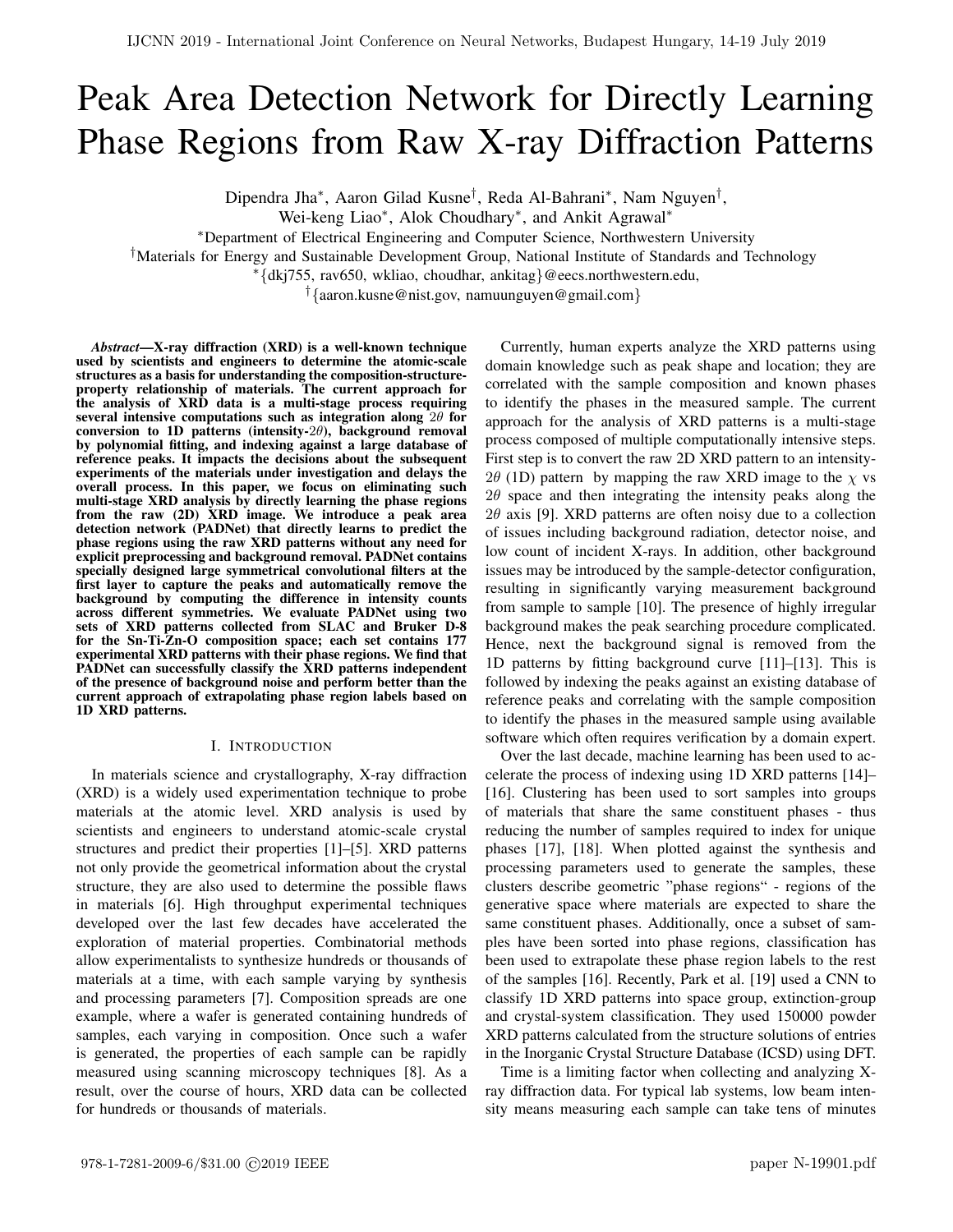# Peak Area Detection Network for Directly Learning Phase Regions from Raw X-ray Diffraction Patterns

Dipendra Jha\*, Aaron Gilad Kusne<sup>†</sup>, Reda Al-Bahrani\*, Nam Nguyen<sup>†</sup>,

Wei-keng Liao<sup>∗</sup> , Alok Choudhary<sup>∗</sup> , and Ankit Agrawal<sup>∗</sup>

<sup>∗</sup>Department of Electrical Engineering and Computer Science, Northwestern University

†Materials for Energy and Sustainable Development Group, National Institute of Standards and Technology

<sup>∗</sup>{dkj755, rav650, wkliao, choudhar, ankitag}@eecs.northwestern.edu,

†{aaron.kusne@nist.gov, namuunguyen@gmail.com}

*Abstract*—X-ray diffraction (XRD) is a well-known technique used by scientists and engineers to determine the atomic-scale structures as a basis for understanding the composition-structureproperty relationship of materials. The current approach for the analysis of XRD data is a multi-stage process requiring several intensive computations such as integration along  $2\theta$  for conversion to 1D patterns (intensity- $2\theta$ ), background removal by polynomial fitting, and indexing against a large database of reference peaks. It impacts the decisions about the subsequent experiments of the materials under investigation and delays the overall process. In this paper, we focus on eliminating such multi-stage XRD analysis by directly learning the phase regions from the raw (2D) XRD image. We introduce a peak area detection network (PADNet) that directly learns to predict the phase regions using the raw XRD patterns without any need for explicit preprocessing and background removal. PADNet contains specially designed large symmetrical convolutional filters at the first layer to capture the peaks and automatically remove the background by computing the difference in intensity counts across different symmetries. We evaluate PADNet using two sets of XRD patterns collected from SLAC and Bruker D-8 for the Sn-Ti-Zn-O composition space; each set contains 177 experimental XRD patterns with their phase regions. We find that PADNet can successfully classify the XRD patterns independent of the presence of background noise and perform better than the current approach of extrapolating phase region labels based on 1D XRD patterns.

#### I. INTRODUCTION

In materials science and crystallography, X-ray diffraction (XRD) is a widely used experimentation technique to probe materials at the atomic level. XRD analysis is used by scientists and engineers to understand atomic-scale crystal structures and predict their properties [1]–[5]. XRD patterns not only provide the geometrical information about the crystal structure, they are also used to determine the possible flaws in materials [6]. High throughput experimental techniques developed over the last few decades have accelerated the exploration of material properties. Combinatorial methods allow experimentalists to synthesize hundreds or thousands of materials at a time, with each sample varying by synthesis and processing parameters [7]. Composition spreads are one example, where a wafer is generated containing hundreds of samples, each varying in composition. Once such a wafer is generated, the properties of each sample can be rapidly measured using scanning microscopy techniques [8]. As a result, over the course of hours, XRD data can be collected for hundreds or thousands of materials.

Currently, human experts analyze the XRD patterns using domain knowledge such as peak shape and location; they are correlated with the sample composition and known phases to identify the phases in the measured sample. The current approach for the analysis of XRD patterns is a multi-stage process composed of multiple computationally intensive steps. First step is to convert the raw 2D XRD pattern to an intensity-2 $\theta$  (1D) pattern by mapping the raw XRD image to the  $\chi$  vs  $2\theta$  space and then integrating the intensity peaks along the  $2\theta$  axis [9]. XRD patterns are often noisy due to a collection of issues including background radiation, detector noise, and low count of incident X-rays. In addition, other background issues may be introduced by the sample-detector configuration, resulting in significantly varying measurement background from sample to sample [10]. The presence of highly irregular background makes the peak searching procedure complicated. Hence, next the background signal is removed from the 1D patterns by fitting background curve [11]–[13]. This is followed by indexing the peaks against an existing database of reference peaks and correlating with the sample composition to identify the phases in the measured sample using available software which often requires verification by a domain expert.

Over the last decade, machine learning has been used to accelerate the process of indexing using 1D XRD patterns [14]– [16]. Clustering has been used to sort samples into groups of materials that share the same constituent phases - thus reducing the number of samples required to index for unique phases [17], [18]. When plotted against the synthesis and processing parameters used to generate the samples, these clusters describe geometric "phase regions" - regions of the generative space where materials are expected to share the same constituent phases. Additionally, once a subset of samples have been sorted into phase regions, classification has been used to extrapolate these phase region labels to the rest of the samples [16]. Recently, Park et al. [19] used a CNN to classify 1D XRD patterns into space group, extinction-group and crystal-system classification. They used 150000 powder XRD patterns calculated from the structure solutions of entries in the Inorganic Crystal Structure Database (ICSD) using DFT.

Time is a limiting factor when collecting and analyzing Xray diffraction data. For typical lab systems, low beam intensity means measuring each sample can take tens of minutes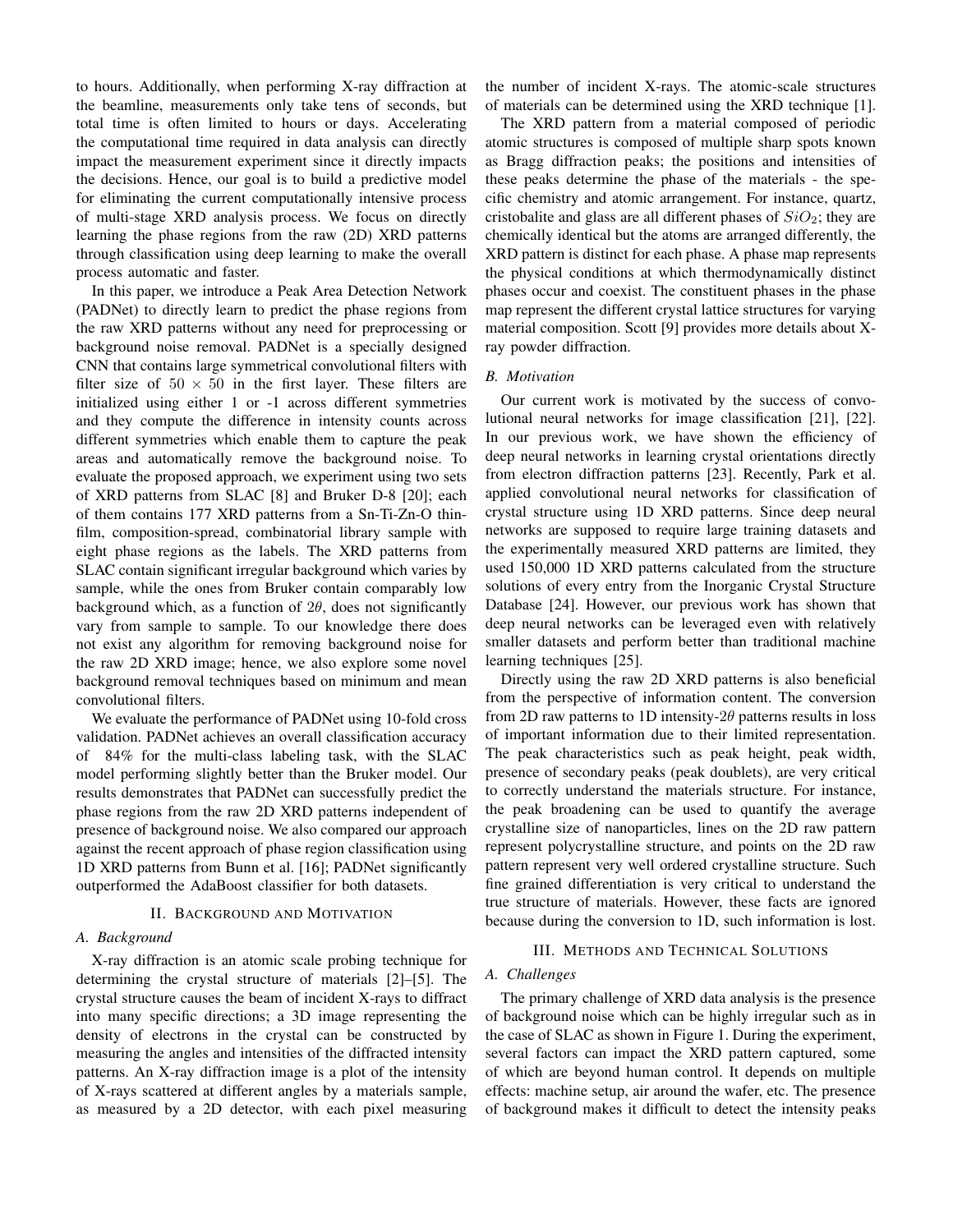to hours. Additionally, when performing X-ray diffraction at the beamline, measurements only take tens of seconds, but total time is often limited to hours or days. Accelerating the computational time required in data analysis can directly impact the measurement experiment since it directly impacts the decisions. Hence, our goal is to build a predictive model for eliminating the current computationally intensive process of multi-stage XRD analysis process. We focus on directly learning the phase regions from the raw (2D) XRD patterns through classification using deep learning to make the overall process automatic and faster.

In this paper, we introduce a Peak Area Detection Network (PADNet) to directly learn to predict the phase regions from the raw XRD patterns without any need for preprocessing or background noise removal. PADNet is a specially designed CNN that contains large symmetrical convolutional filters with filter size of  $50 \times 50$  in the first layer. These filters are initialized using either 1 or -1 across different symmetries and they compute the difference in intensity counts across different symmetries which enable them to capture the peak areas and automatically remove the background noise. To evaluate the proposed approach, we experiment using two sets of XRD patterns from SLAC [8] and Bruker D-8 [20]; each of them contains 177 XRD patterns from a Sn-Ti-Zn-O thinfilm, composition-spread, combinatorial library sample with eight phase regions as the labels. The XRD patterns from SLAC contain significant irregular background which varies by sample, while the ones from Bruker contain comparably low background which, as a function of  $2\theta$ , does not significantly vary from sample to sample. To our knowledge there does not exist any algorithm for removing background noise for the raw 2D XRD image; hence, we also explore some novel background removal techniques based on minimum and mean convolutional filters.

We evaluate the performance of PADNet using 10-fold cross validation. PADNet achieves an overall classification accuracy of 84% for the multi-class labeling task, with the SLAC model performing slightly better than the Bruker model. Our results demonstrates that PADNet can successfully predict the phase regions from the raw 2D XRD patterns independent of presence of background noise. We also compared our approach against the recent approach of phase region classification using 1D XRD patterns from Bunn et al. [16]; PADNet significantly outperformed the AdaBoost classifier for both datasets.

#### II. BACKGROUND AND MOTIVATION

#### *A. Background*

X-ray diffraction is an atomic scale probing technique for determining the crystal structure of materials [2]–[5]. The crystal structure causes the beam of incident X-rays to diffract into many specific directions; a 3D image representing the density of electrons in the crystal can be constructed by measuring the angles and intensities of the diffracted intensity patterns. An X-ray diffraction image is a plot of the intensity of X-rays scattered at different angles by a materials sample, as measured by a 2D detector, with each pixel measuring

the number of incident X-rays. The atomic-scale structures of materials can be determined using the XRD technique [1].

The XRD pattern from a material composed of periodic atomic structures is composed of multiple sharp spots known as Bragg diffraction peaks; the positions and intensities of these peaks determine the phase of the materials - the specific chemistry and atomic arrangement. For instance, quartz, cristobalite and glass are all different phases of  $SiO<sub>2</sub>$ ; they are chemically identical but the atoms are arranged differently, the XRD pattern is distinct for each phase. A phase map represents the physical conditions at which thermodynamically distinct phases occur and coexist. The constituent phases in the phase map represent the different crystal lattice structures for varying material composition. Scott [9] provides more details about Xray powder diffraction.

#### *B. Motivation*

Our current work is motivated by the success of convolutional neural networks for image classification [21], [22]. In our previous work, we have shown the efficiency of deep neural networks in learning crystal orientations directly from electron diffraction patterns [23]. Recently, Park et al. applied convolutional neural networks for classification of crystal structure using 1D XRD patterns. Since deep neural networks are supposed to require large training datasets and the experimentally measured XRD patterns are limited, they used 150,000 1D XRD patterns calculated from the structure solutions of every entry from the Inorganic Crystal Structure Database [24]. However, our previous work has shown that deep neural networks can be leveraged even with relatively smaller datasets and perform better than traditional machine learning techniques [25].

Directly using the raw 2D XRD patterns is also beneficial from the perspective of information content. The conversion from 2D raw patterns to 1D intensity- $2\theta$  patterns results in loss of important information due to their limited representation. The peak characteristics such as peak height, peak width, presence of secondary peaks (peak doublets), are very critical to correctly understand the materials structure. For instance, the peak broadening can be used to quantify the average crystalline size of nanoparticles, lines on the 2D raw pattern represent polycrystalline structure, and points on the 2D raw pattern represent very well ordered crystalline structure. Such fine grained differentiation is very critical to understand the true structure of materials. However, these facts are ignored because during the conversion to 1D, such information is lost.

# III. METHODS AND TECHNICAL SOLUTIONS

# *A. Challenges*

The primary challenge of XRD data analysis is the presence of background noise which can be highly irregular such as in the case of SLAC as shown in Figure 1. During the experiment, several factors can impact the XRD pattern captured, some of which are beyond human control. It depends on multiple effects: machine setup, air around the wafer, etc. The presence of background makes it difficult to detect the intensity peaks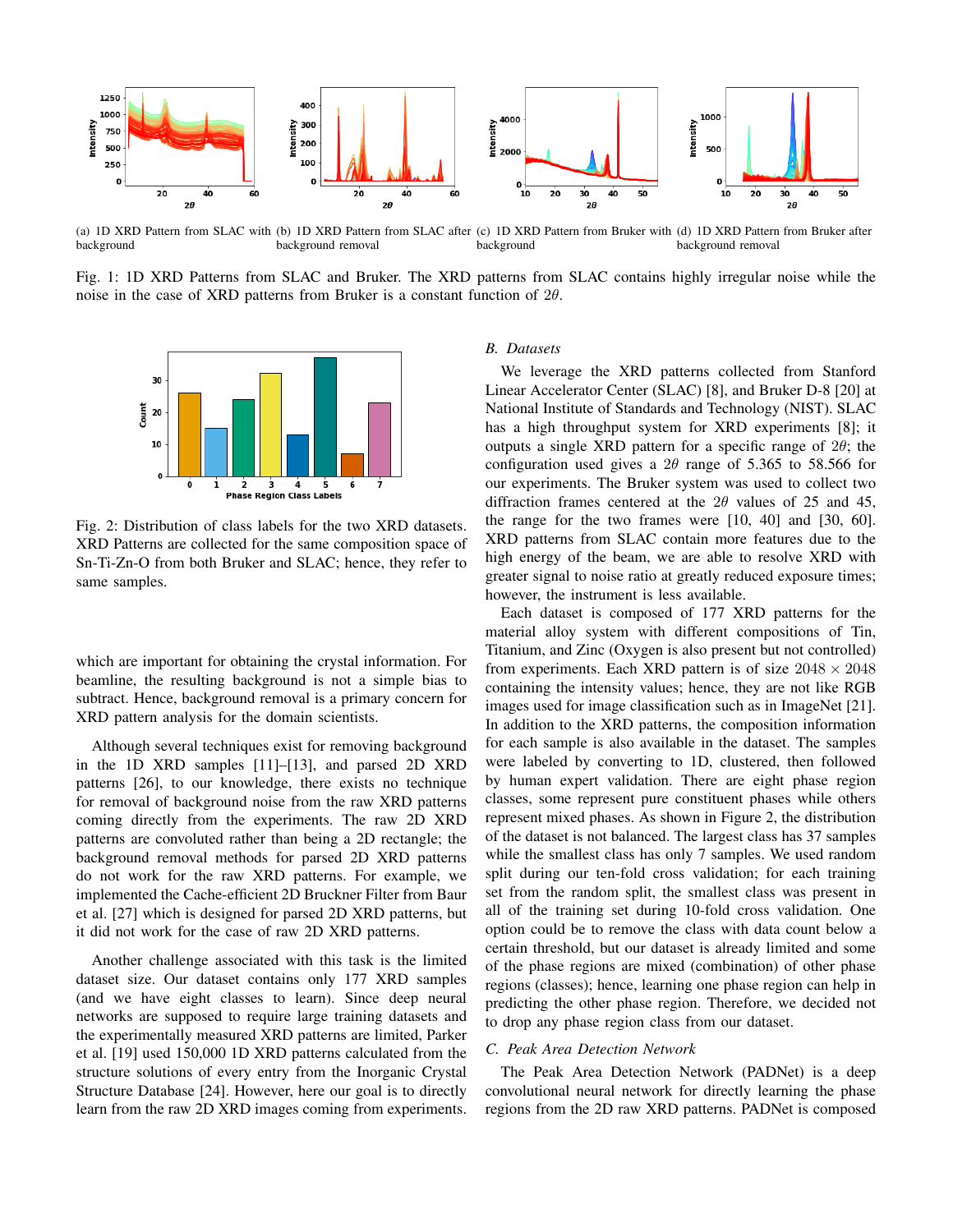

(a) 1D XRD Pattern from SLAC with (b) 1D XRD Pattern from SLAC after (c) 1D XRD Pattern from Bruker with (d) 1D XRD Pattern from Bruker after background background removal background background removal

Fig. 1: 1D XRD Patterns from SLAC and Bruker. The XRD patterns from SLAC contains highly irregular noise while the noise in the case of XRD patterns from Bruker is a constant function of  $2\theta$ .



Fig. 2: Distribution of class labels for the two XRD datasets. XRD Patterns are collected for the same composition space of Sn-Ti-Zn-O from both Bruker and SLAC; hence, they refer to same samples.

which are important for obtaining the crystal information. For beamline, the resulting background is not a simple bias to subtract. Hence, background removal is a primary concern for XRD pattern analysis for the domain scientists.

Although several techniques exist for removing background in the 1D XRD samples [11]–[13], and parsed 2D XRD patterns [26], to our knowledge, there exists no technique for removal of background noise from the raw XRD patterns coming directly from the experiments. The raw 2D XRD patterns are convoluted rather than being a 2D rectangle; the background removal methods for parsed 2D XRD patterns do not work for the raw XRD patterns. For example, we implemented the Cache-efficient 2D Bruckner Filter from Baur et al. [27] which is designed for parsed 2D XRD patterns, but it did not work for the case of raw 2D XRD patterns.

Another challenge associated with this task is the limited dataset size. Our dataset contains only 177 XRD samples (and we have eight classes to learn). Since deep neural networks are supposed to require large training datasets and the experimentally measured XRD patterns are limited, Parker et al. [19] used 150,000 1D XRD patterns calculated from the structure solutions of every entry from the Inorganic Crystal Structure Database [24]. However, here our goal is to directly learn from the raw 2D XRD images coming from experiments.

### *B. Datasets*

We leverage the XRD patterns collected from Stanford Linear Accelerator Center (SLAC) [8], and Bruker D-8 [20] at National Institute of Standards and Technology (NIST). SLAC has a high throughput system for XRD experiments [8]; it outputs a single XRD pattern for a specific range of  $2\theta$ ; the configuration used gives a  $2\theta$  range of 5.365 to 58.566 for our experiments. The Bruker system was used to collect two diffraction frames centered at the  $2\theta$  values of 25 and 45, the range for the two frames were [10, 40] and [30, 60]. XRD patterns from SLAC contain more features due to the high energy of the beam, we are able to resolve XRD with greater signal to noise ratio at greatly reduced exposure times; however, the instrument is less available.

Each dataset is composed of 177 XRD patterns for the material alloy system with different compositions of Tin, Titanium, and Zinc (Oxygen is also present but not controlled) from experiments. Each XRD pattern is of size  $2048 \times 2048$ containing the intensity values; hence, they are not like RGB images used for image classification such as in ImageNet [21]. In addition to the XRD patterns, the composition information for each sample is also available in the dataset. The samples were labeled by converting to 1D, clustered, then followed by human expert validation. There are eight phase region classes, some represent pure constituent phases while others represent mixed phases. As shown in Figure 2, the distribution of the dataset is not balanced. The largest class has 37 samples while the smallest class has only 7 samples. We used random split during our ten-fold cross validation; for each training set from the random split, the smallest class was present in all of the training set during 10-fold cross validation. One option could be to remove the class with data count below a certain threshold, but our dataset is already limited and some of the phase regions are mixed (combination) of other phase regions (classes); hence, learning one phase region can help in predicting the other phase region. Therefore, we decided not to drop any phase region class from our dataset.

## *C. Peak Area Detection Network*

The Peak Area Detection Network (PADNet) is a deep convolutional neural network for directly learning the phase regions from the 2D raw XRD patterns. PADNet is composed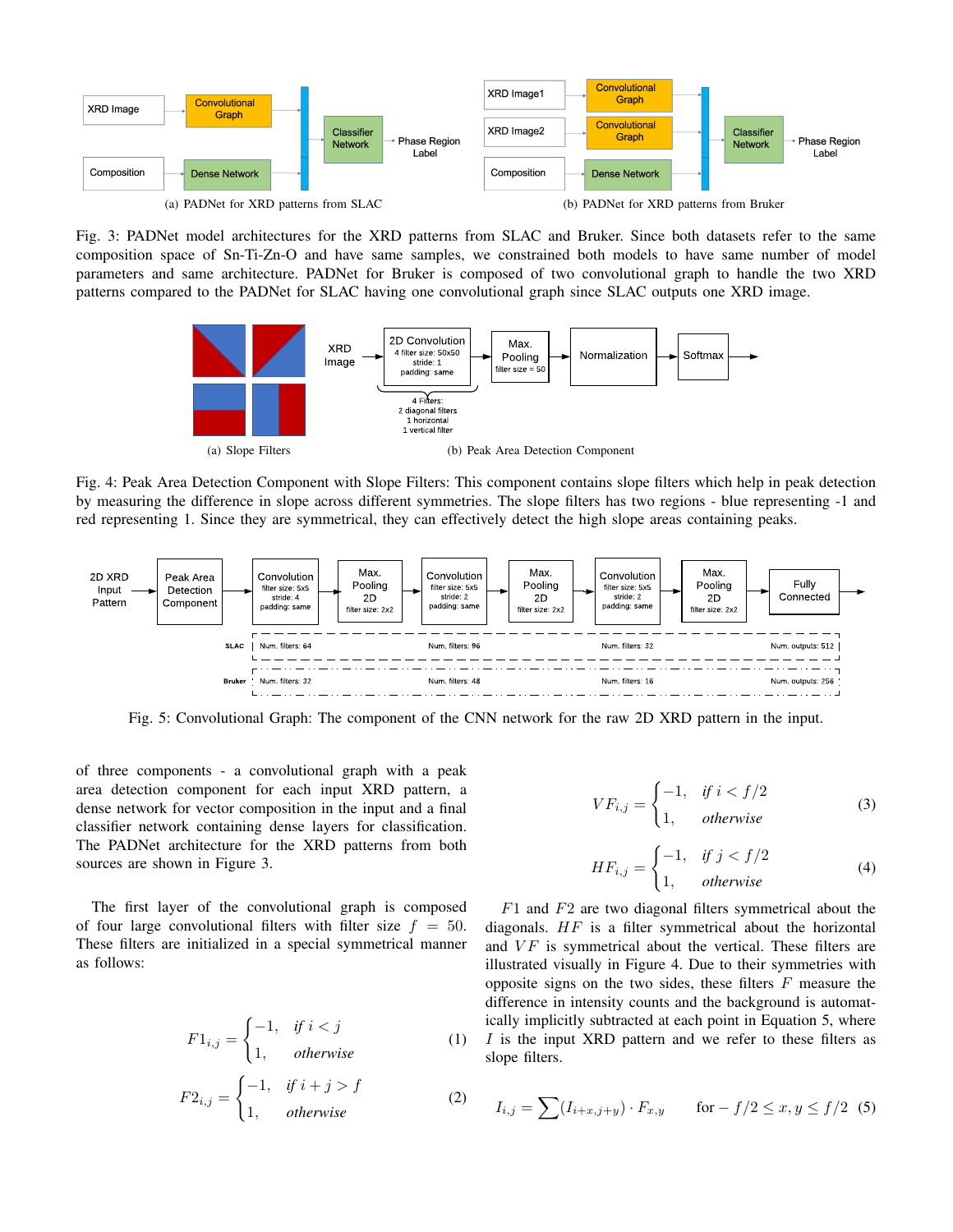

Fig. 3: PADNet model architectures for the XRD patterns from SLAC and Bruker. Since both datasets refer to the same composition space of Sn-Ti-Zn-O and have same samples, we constrained both models to have same number of model parameters and same architecture. PADNet for Bruker is composed of two convolutional graph to handle the two XRD patterns compared to the PADNet for SLAC having one convolutional graph since SLAC outputs one XRD image.



Fig. 4: Peak Area Detection Component with Slope Filters: This component contains slope filters which help in peak detection by measuring the difference in slope across different symmetries. The slope filters has two regions - blue representing -1 and red representing 1. Since they are symmetrical, they can effectively detect the high slope areas containing peaks.



Fig. 5: Convolutional Graph: The component of the CNN network for the raw 2D XRD pattern in the input.

of three components - a convolutional graph with a peak area detection component for each input XRD pattern, a dense network for vector composition in the input and a final classifier network containing dense layers for classification. The PADNet architecture for the XRD patterns from both sources are shown in Figure 3.

The first layer of the convolutional graph is composed of four large convolutional filters with filter size  $f = 50$ . These filters are initialized in a special symmetrical manner as follows:

$$
F1_{i,j} = \begin{cases} -1, & \text{if } i < j \\ 1, & \text{otherwise} \end{cases}
$$
 (1)

$$
F2_{i,j} = \begin{cases} -1, & \text{if } i+j > f \\ 1, & \text{otherwise} \end{cases}
$$
 (2)

$$
VF_{i,j} = \begin{cases} -1, & \text{if } i < f/2\\ 1, & \text{otherwise} \end{cases} \tag{3}
$$

$$
HF_{i,j} = \begin{cases} -1, & \text{if } j < f/2\\ 1, & \text{otherwise} \end{cases} \tag{4}
$$

 $F1$  and  $F2$  are two diagonal filters symmetrical about the diagonals.  $HF$  is a filter symmetrical about the horizontal and  $VF$  is symmetrical about the vertical. These filters are illustrated visually in Figure 4. Due to their symmetries with opposite signs on the two sides, these filters  $F$  measure the difference in intensity counts and the background is automatically implicitly subtracted at each point in Equation 5, where I is the input XRD pattern and we refer to these filters as slope filters.

$$
I_{i,j} = \sum (I_{i+x,j+y}) \cdot F_{x,y} \quad \text{for } -f/2 \le x, y \le f/2 \tag{5}
$$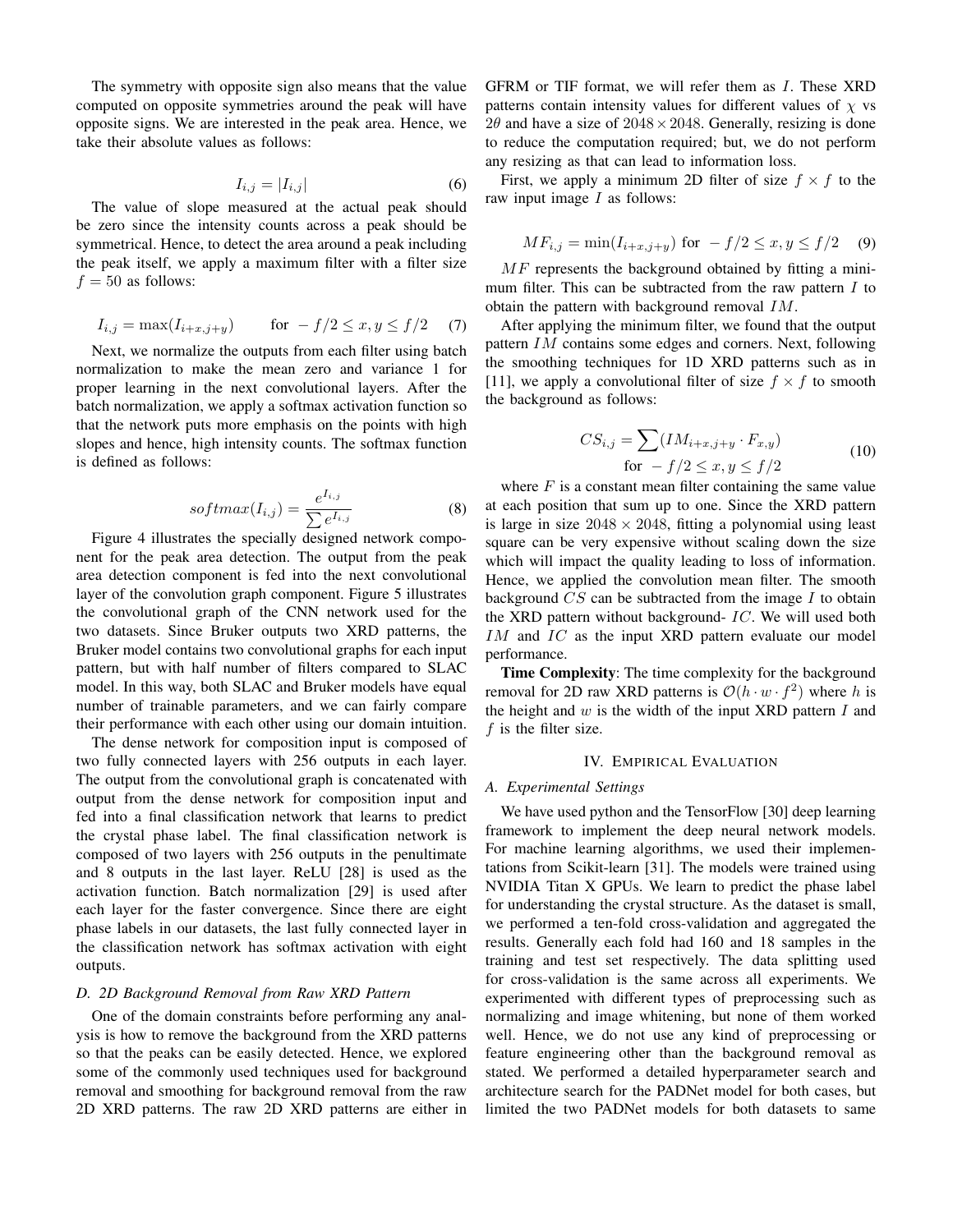The symmetry with opposite sign also means that the value computed on opposite symmetries around the peak will have opposite signs. We are interested in the peak area. Hence, we take their absolute values as follows:

$$
I_{i,j} = |I_{i,j}| \tag{6}
$$

The value of slope measured at the actual peak should be zero since the intensity counts across a peak should be symmetrical. Hence, to detect the area around a peak including the peak itself, we apply a maximum filter with a filter size  $f = 50$  as follows:

$$
I_{i,j} = \max(I_{i+x,j+y}) \quad \text{for} \quad -f/2 \le x, y \le f/2 \quad (7)
$$

Next, we normalize the outputs from each filter using batch normalization to make the mean zero and variance 1 for proper learning in the next convolutional layers. After the batch normalization, we apply a softmax activation function so that the network puts more emphasis on the points with high slopes and hence, high intensity counts. The softmax function is defined as follows:

$$
softmax(I_{i,j}) = \frac{e^{I_{i,j}}}{\sum e^{I_{i,j}}}
$$
\n(8)

Figure 4 illustrates the specially designed network component for the peak area detection. The output from the peak area detection component is fed into the next convolutional layer of the convolution graph component. Figure 5 illustrates the convolutional graph of the CNN network used for the two datasets. Since Bruker outputs two XRD patterns, the Bruker model contains two convolutional graphs for each input pattern, but with half number of filters compared to SLAC model. In this way, both SLAC and Bruker models have equal number of trainable parameters, and we can fairly compare their performance with each other using our domain intuition.

The dense network for composition input is composed of two fully connected layers with 256 outputs in each layer. The output from the convolutional graph is concatenated with output from the dense network for composition input and fed into a final classification network that learns to predict the crystal phase label. The final classification network is composed of two layers with 256 outputs in the penultimate and 8 outputs in the last layer. ReLU [28] is used as the activation function. Batch normalization [29] is used after each layer for the faster convergence. Since there are eight phase labels in our datasets, the last fully connected layer in the classification network has softmax activation with eight outputs.

## *D. 2D Background Removal from Raw XRD Pattern*

One of the domain constraints before performing any analysis is how to remove the background from the XRD patterns so that the peaks can be easily detected. Hence, we explored some of the commonly used techniques used for background removal and smoothing for background removal from the raw 2D XRD patterns. The raw 2D XRD patterns are either in GFRM or TIF format, we will refer them as I. These XRD patterns contain intensity values for different values of  $\chi$  vs  $2\theta$  and have a size of  $2048 \times 2048$ . Generally, resizing is done to reduce the computation required; but, we do not perform any resizing as that can lead to information loss.

First, we apply a minimum 2D filter of size  $f \times f$  to the raw input image  $I$  as follows:

$$
MF_{i,j} = \min(I_{i+x,j+y}) \text{ for } -f/2 \le x, y \le f/2 \quad (9)
$$

MF represents the background obtained by fitting a minimum filter. This can be subtracted from the raw pattern  $I$  to obtain the pattern with background removal IM.

After applying the minimum filter, we found that the output pattern IM contains some edges and corners. Next, following the smoothing techniques for 1D XRD patterns such as in [11], we apply a convolutional filter of size  $f \times f$  to smooth the background as follows:

$$
CS_{i,j} = \sum (IM_{i+x,j+y} \cdot F_{x,y})
$$
  
for  $-f/2 \le x, y \le f/2$  (10)

where  $F$  is a constant mean filter containing the same value at each position that sum up to one. Since the XRD pattern is large in size  $2048 \times 2048$ , fitting a polynomial using least square can be very expensive without scaling down the size which will impact the quality leading to loss of information. Hence, we applied the convolution mean filter. The smooth background  $CS$  can be subtracted from the image  $I$  to obtain the XRD pattern without background-  $IC$ . We will used both IM and IC as the input XRD pattern evaluate our model performance.

Time Complexity: The time complexity for the background removal for 2D raw XRD patterns is  $\mathcal{O}(h \cdot w \cdot f^2)$  where h is the height and  $w$  is the width of the input XRD pattern  $I$  and  $f$  is the filter size.

## IV. EMPIRICAL EVALUATION

#### *A. Experimental Settings*

We have used python and the TensorFlow [30] deep learning framework to implement the deep neural network models. For machine learning algorithms, we used their implementations from Scikit-learn [31]. The models were trained using NVIDIA Titan X GPUs. We learn to predict the phase label for understanding the crystal structure. As the dataset is small, we performed a ten-fold cross-validation and aggregated the results. Generally each fold had 160 and 18 samples in the training and test set respectively. The data splitting used for cross-validation is the same across all experiments. We experimented with different types of preprocessing such as normalizing and image whitening, but none of them worked well. Hence, we do not use any kind of preprocessing or feature engineering other than the background removal as stated. We performed a detailed hyperparameter search and architecture search for the PADNet model for both cases, but limited the two PADNet models for both datasets to same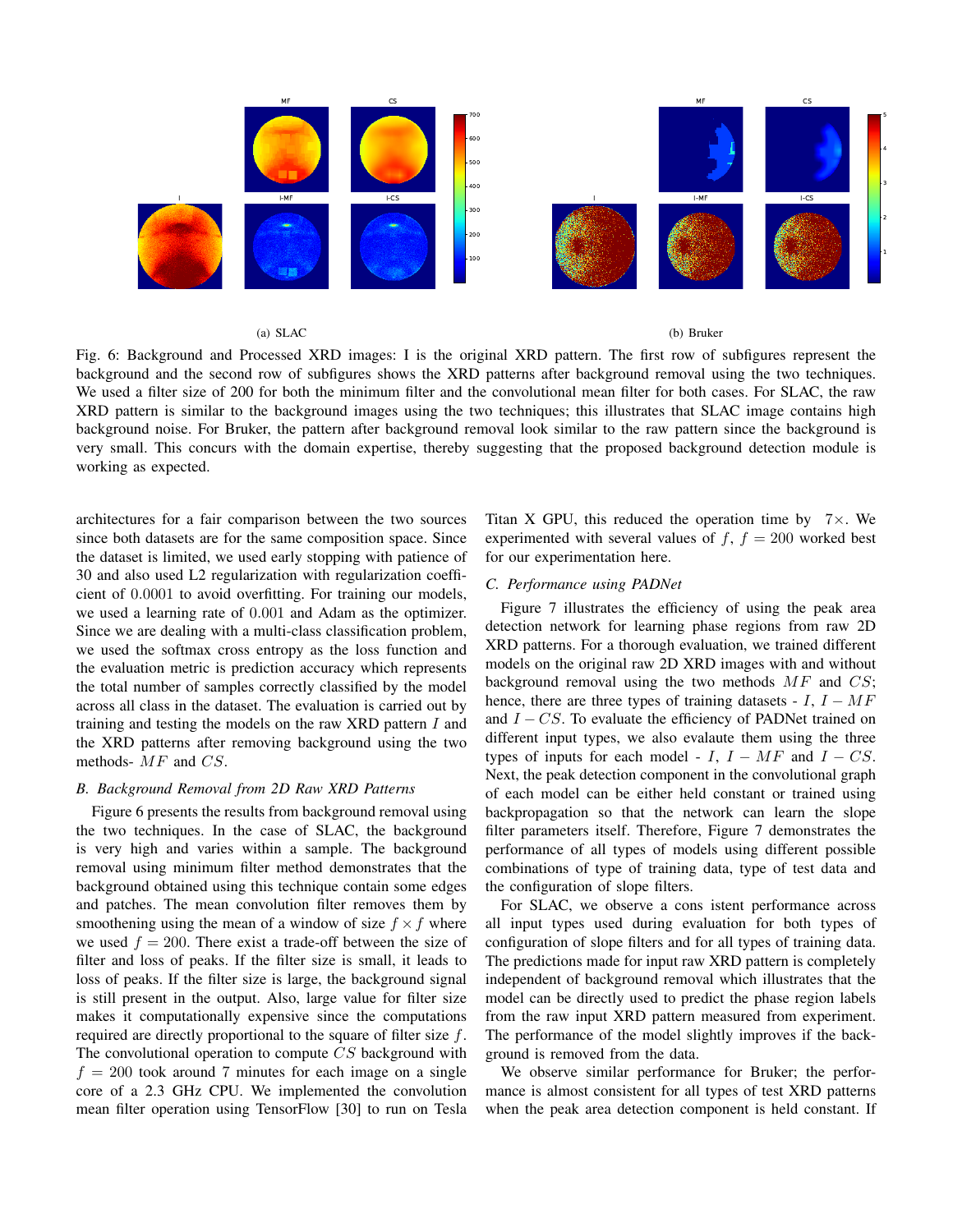

(a) SLAC

(b) Bruker

Fig. 6: Background and Processed XRD images: I is the original XRD pattern. The first row of subfigures represent the background and the second row of subfigures shows the XRD patterns after background removal using the two techniques. We used a filter size of 200 for both the minimum filter and the convolutional mean filter for both cases. For SLAC, the raw XRD pattern is similar to the background images using the two techniques; this illustrates that SLAC image contains high background noise. For Bruker, the pattern after background removal look similar to the raw pattern since the background is very small. This concurs with the domain expertise, thereby suggesting that the proposed background detection module is working as expected.

architectures for a fair comparison between the two sources since both datasets are for the same composition space. Since the dataset is limited, we used early stopping with patience of 30 and also used L2 regularization with regularization coefficient of 0.0001 to avoid overfitting. For training our models, we used a learning rate of 0.001 and Adam as the optimizer. Since we are dealing with a multi-class classification problem, we used the softmax cross entropy as the loss function and the evaluation metric is prediction accuracy which represents the total number of samples correctly classified by the model across all class in the dataset. The evaluation is carried out by training and testing the models on the raw XRD pattern  $I$  and the XRD patterns after removing background using the two methods- MF and CS.

## *B. Background Removal from 2D Raw XRD Patterns*

Figure 6 presents the results from background removal using the two techniques. In the case of SLAC, the background is very high and varies within a sample. The background removal using minimum filter method demonstrates that the background obtained using this technique contain some edges and patches. The mean convolution filter removes them by smoothening using the mean of a window of size  $f \times f$  where we used  $f = 200$ . There exist a trade-off between the size of filter and loss of peaks. If the filter size is small, it leads to loss of peaks. If the filter size is large, the background signal is still present in the output. Also, large value for filter size makes it computationally expensive since the computations required are directly proportional to the square of filter size f. The convolutional operation to compute CS background with  $f = 200$  took around 7 minutes for each image on a single core of a 2.3 GHz CPU. We implemented the convolution mean filter operation using TensorFlow [30] to run on Tesla Titan X GPU, this reduced the operation time by  $7 \times$ . We experimented with several values of  $f, f = 200$  worked best for our experimentation here.

# *C. Performance using PADNet*

Figure 7 illustrates the efficiency of using the peak area detection network for learning phase regions from raw 2D XRD patterns. For a thorough evaluation, we trained different models on the original raw 2D XRD images with and without background removal using the two methods  $MF$  and  $CS$ ; hence, there are three types of training datasets -  $I, I - MF$ and  $I - CS$ . To evaluate the efficiency of PADNet trained on different input types, we also evalaute them using the three types of inputs for each model -  $I, I - MF$  and  $I - CS$ . Next, the peak detection component in the convolutional graph of each model can be either held constant or trained using backpropagation so that the network can learn the slope filter parameters itself. Therefore, Figure 7 demonstrates the performance of all types of models using different possible combinations of type of training data, type of test data and the configuration of slope filters.

For SLAC, we observe a cons istent performance across all input types used during evaluation for both types of configuration of slope filters and for all types of training data. The predictions made for input raw XRD pattern is completely independent of background removal which illustrates that the model can be directly used to predict the phase region labels from the raw input XRD pattern measured from experiment. The performance of the model slightly improves if the background is removed from the data.

We observe similar performance for Bruker; the performance is almost consistent for all types of test XRD patterns when the peak area detection component is held constant. If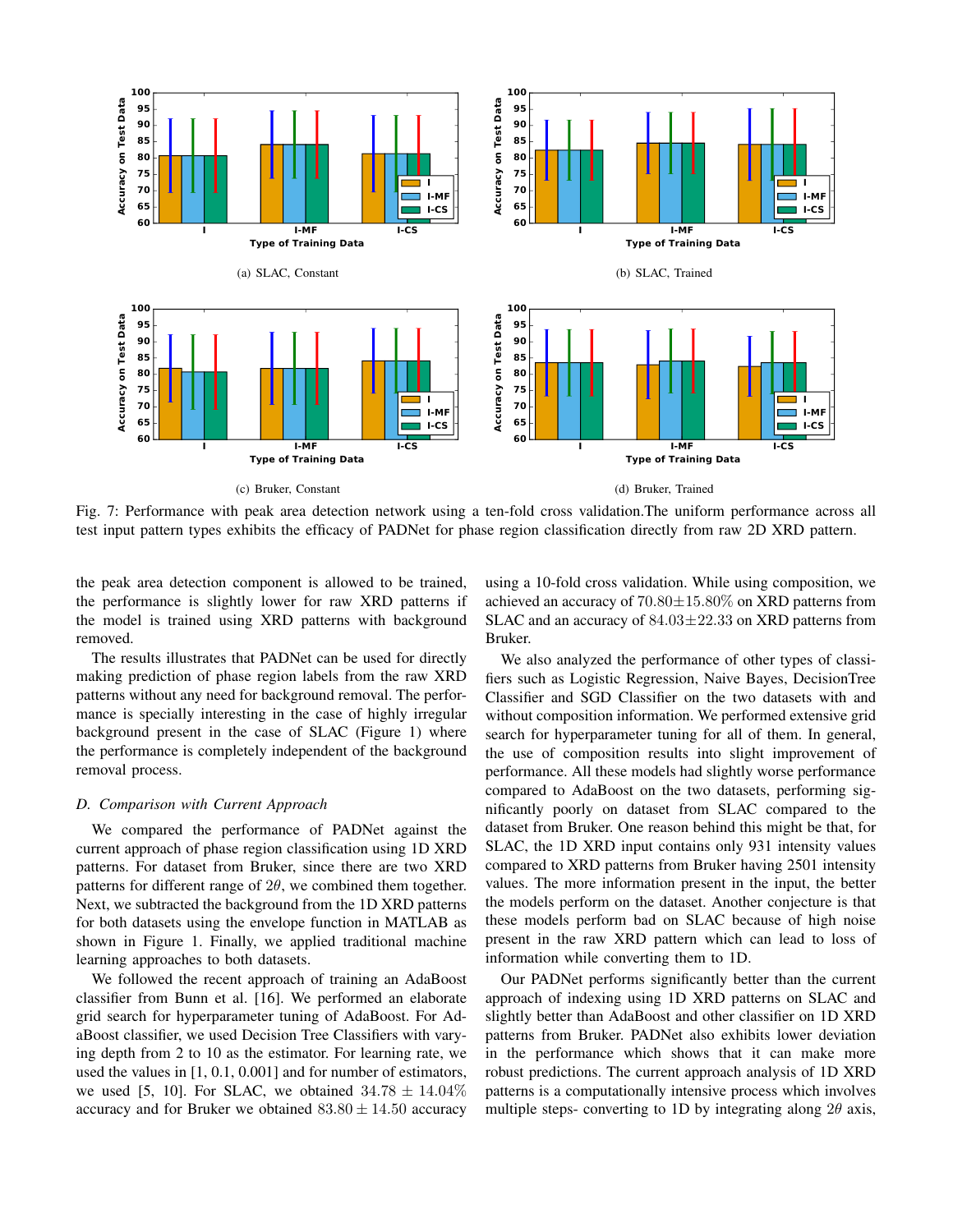

Fig. 7: Performance with peak area detection network using a ten-fold cross validation.The uniform performance across all test input pattern types exhibits the efficacy of PADNet for phase region classification directly from raw 2D XRD pattern.

the peak area detection component is allowed to be trained, the performance is slightly lower for raw XRD patterns if the model is trained using XRD patterns with background removed.

The results illustrates that PADNet can be used for directly making prediction of phase region labels from the raw XRD patterns without any need for background removal. The performance is specially interesting in the case of highly irregular background present in the case of SLAC (Figure 1) where the performance is completely independent of the background removal process.

# *D. Comparison with Current Approach*

We compared the performance of PADNet against the current approach of phase region classification using 1D XRD patterns. For dataset from Bruker, since there are two XRD patterns for different range of  $2\theta$ , we combined them together. Next, we subtracted the background from the 1D XRD patterns for both datasets using the envelope function in MATLAB as shown in Figure 1. Finally, we applied traditional machine learning approaches to both datasets.

We followed the recent approach of training an AdaBoost classifier from Bunn et al. [16]. We performed an elaborate grid search for hyperparameter tuning of AdaBoost. For AdaBoost classifier, we used Decision Tree Classifiers with varying depth from 2 to 10 as the estimator. For learning rate, we used the values in [1, 0.1, 0.001] and for number of estimators, we used [5, 10]. For SLAC, we obtained  $34.78 \pm 14.04\%$ accuracy and for Bruker we obtained  $83.80 \pm 14.50$  accuracy using a 10-fold cross validation. While using composition, we achieved an accuracy of  $70.80 \pm 15.80\%$  on XRD patterns from SLAC and an accuracy of  $84.03 \pm 22.33$  on XRD patterns from Bruker.

We also analyzed the performance of other types of classifiers such as Logistic Regression, Naive Bayes, DecisionTree Classifier and SGD Classifier on the two datasets with and without composition information. We performed extensive grid search for hyperparameter tuning for all of them. In general, the use of composition results into slight improvement of performance. All these models had slightly worse performance compared to AdaBoost on the two datasets, performing significantly poorly on dataset from SLAC compared to the dataset from Bruker. One reason behind this might be that, for SLAC, the 1D XRD input contains only 931 intensity values compared to XRD patterns from Bruker having 2501 intensity values. The more information present in the input, the better the models perform on the dataset. Another conjecture is that these models perform bad on SLAC because of high noise present in the raw XRD pattern which can lead to loss of information while converting them to 1D.

Our PADNet performs significantly better than the current approach of indexing using 1D XRD patterns on SLAC and slightly better than AdaBoost and other classifier on 1D XRD patterns from Bruker. PADNet also exhibits lower deviation in the performance which shows that it can make more robust predictions. The current approach analysis of 1D XRD patterns is a computationally intensive process which involves multiple steps- converting to 1D by integrating along  $2\theta$  axis,